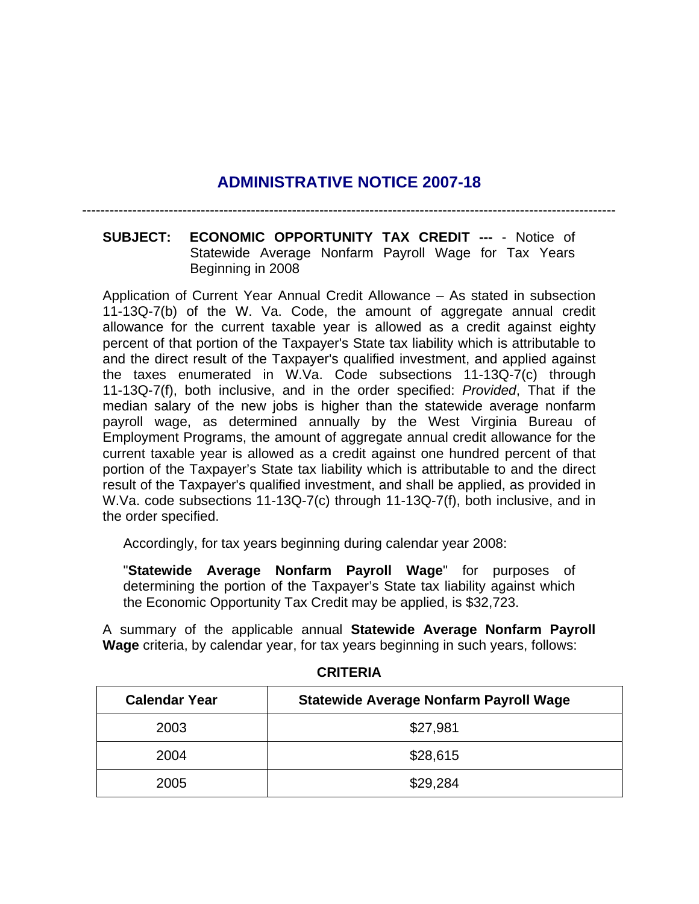## **ADMINISTRATIVE NOTICE 2007-18**

---------------------------------------------------------------------------------------------------------------------

## **SUBJECT: ECONOMIC OPPORTUNITY TAX CREDIT ---** - Notice of Statewide Average Nonfarm Payroll Wage for Tax Years Beginning in 2008

Application of Current Year Annual Credit Allowance – As stated in subsection 11-13Q-7(b) of the W. Va. Code, the amount of aggregate annual credit allowance for the current taxable year is allowed as a credit against eighty percent of that portion of the Taxpayer's State tax liability which is attributable to and the direct result of the Taxpayer's qualified investment, and applied against the taxes enumerated in W.Va. Code subsections 11-13Q-7(c) through 11-13Q-7(f), both inclusive, and in the order specified: *Provided*, That if the median salary of the new jobs is higher than the statewide average nonfarm payroll wage, as determined annually by the West Virginia Bureau of Employment Programs, the amount of aggregate annual credit allowance for the current taxable year is allowed as a credit against one hundred percent of that portion of the Taxpayer's State tax liability which is attributable to and the direct result of the Taxpayer's qualified investment, and shall be applied, as provided in W.Va. code subsections 11-13Q-7(c) through 11-13Q-7(f), both inclusive, and in the order specified.

Accordingly, for tax years beginning during calendar year 2008:

"**Statewide Average Nonfarm Payroll Wage**" for purposes of determining the portion of the Taxpayer's State tax liability against which the Economic Opportunity Tax Credit may be applied, is \$32,723.

A summary of the applicable annual **Statewide Average Nonfarm Payroll Wage** criteria, by calendar year, for tax years beginning in such years, follows:

| <b>Calendar Year</b> | <b>Statewide Average Nonfarm Payroll Wage</b> |
|----------------------|-----------------------------------------------|
| 2003                 | \$27,981                                      |
| 2004                 | \$28,615                                      |
| 2005                 | \$29,284                                      |

## **CRITERIA**